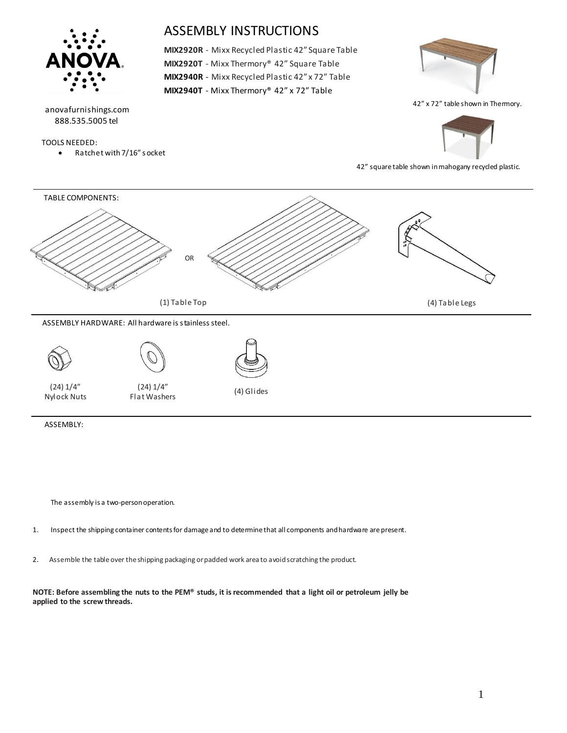

The assembly is a two-person operation.

- 1. Inspect the shipping container contents for damage and to determine that all components and hardware are present.
- 2. Assemble the table over the shipping packaging or padded work area to avoid scratching the product.

**NOTE: Before assembling the nuts to the PEM® studs, it is recommended that a light oil or petroleum jelly be applied to the screw threads.**